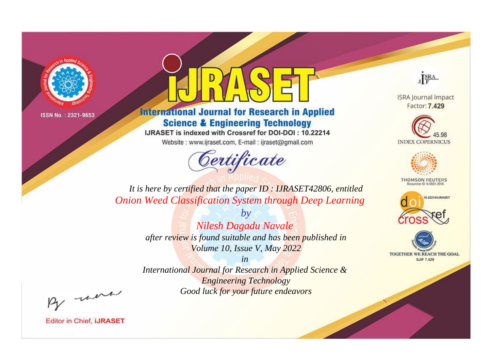

## **International Journal for Research in Applied Science & Engineering Technology**

IJRASET is indexed with Crossref for DOI-DOI: 10.22214

Website: www.ijraset.com, E-mail: ijraset@gmail.com



JERA

**ISRA Journal Impact** Factor: 7.429





**THOMSON REUTERS** 



TOGETHER WE REACH THE GOAL **SJIF 7.429** 

*It is here by certified that the paper ID : IJRASET42806, entitled Onion Weed Classification System through Deep Learning*

> *by Nilesh Dagadu Navale after review is found suitable and has been published in Volume 10, Issue V, May 2022*

> > *in*

*International Journal for Research in Applied Science & Engineering Technology Good luck for your future endeavors*

By morn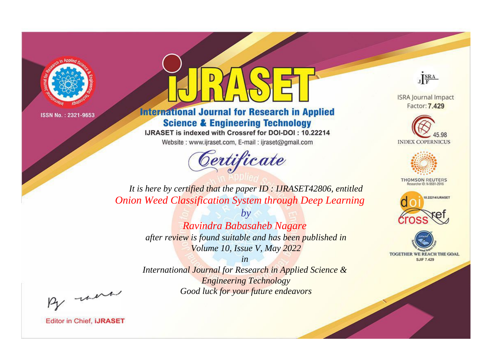

## **International Journal for Research in Applied Science & Engineering Technology**

IJRASET is indexed with Crossref for DOI-DOI: 10.22214

Website: www.ijraset.com, E-mail: ijraset@gmail.com



JERA

**ISRA Journal Impact** Factor: 7.429





**THOMSON REUTERS** 



TOGETHER WE REACH THE GOAL **SJIF 7.429** 

*It is here by certified that the paper ID : IJRASET42806, entitled Onion Weed Classification System through Deep Learning*

> *by Ravindra Babasaheb Nagare after review is found suitable and has been published in Volume 10, Issue V, May 2022*

> > *in*

*International Journal for Research in Applied Science & Engineering Technology Good luck for your future endeavors*

By morn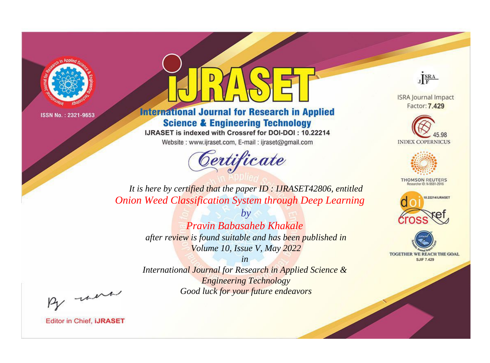

## **International Journal for Research in Applied Science & Engineering Technology**

IJRASET is indexed with Crossref for DOI-DOI: 10.22214

Website: www.ijraset.com, E-mail: ijraset@gmail.com

# Certificate



**ISRA Journal Impact** Factor: 7.429





**THOMSON REUTERS** 



TOGETHER WE REACH THE GOAL **SJIF 7.429** 

*It is here by certified that the paper ID : IJRASET42806, entitled Onion Weed Classification System through Deep Learning*

> *by Pravin Babasaheb Khakale after review is found suitable and has been published in Volume 10, Issue V, May 2022*

> > *in*

*International Journal for Research in Applied Science & Engineering Technology Good luck for your future endeavors*

By morn